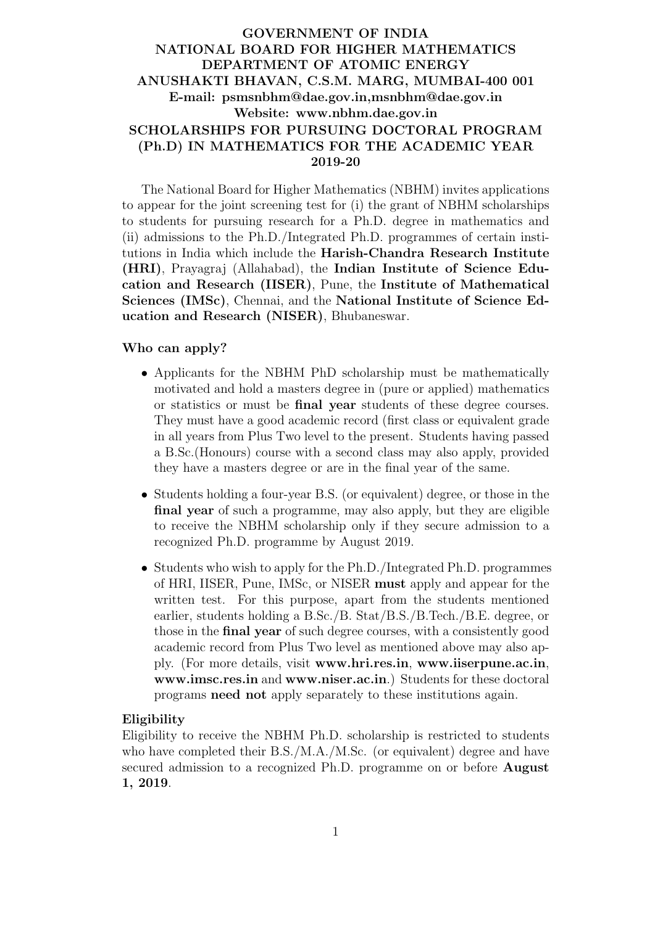# GOVERNMENT OF INDIA NATIONAL BOARD FOR HIGHER MATHEMATICS DEPARTMENT OF ATOMIC ENERGY ANUSHAKTI BHAVAN, C.S.M. MARG, MUMBAI-400 001 E-mail: psmsnbhm@dae.gov.in,msnbhm@dae.gov.in Website: www.nbhm.dae.gov.in SCHOLARSHIPS FOR PURSUING DOCTORAL PROGRAM (Ph.D) IN MATHEMATICS FOR THE ACADEMIC YEAR 2019-20

The National Board for Higher Mathematics (NBHM) invites applications to appear for the joint screening test for (i) the grant of NBHM scholarships to students for pursuing research for a Ph.D. degree in mathematics and (ii) admissions to the Ph.D./Integrated Ph.D. programmes of certain institutions in India which include the Harish-Chandra Research Institute (HRI), Prayagraj (Allahabad), the Indian Institute of Science Education and Research (IISER), Pune, the Institute of Mathematical Sciences (IMSc), Chennai, and the National Institute of Science Education and Research (NISER), Bhubaneswar.

### Who can apply?

- Applicants for the NBHM PhD scholarship must be mathematically motivated and hold a masters degree in (pure or applied) mathematics or statistics or must be final year students of these degree courses. They must have a good academic record (first class or equivalent grade in all years from Plus Two level to the present. Students having passed a B.Sc.(Honours) course with a second class may also apply, provided they have a masters degree or are in the final year of the same.
- Students holding a four-year B.S. (or equivalent) degree, or those in the final year of such a programme, may also apply, but they are eligible to receive the NBHM scholarship only if they secure admission to a recognized Ph.D. programme by August 2019.
- Students who wish to apply for the Ph.D./Integrated Ph.D. programmes of HRI, IISER, Pune, IMSc, or NISER must apply and appear for the written test. For this purpose, apart from the students mentioned earlier, students holding a B.Sc./B. Stat/B.S./B.Tech./B.E. degree, or those in the final year of such degree courses, with a consistently good academic record from Plus Two level as mentioned above may also apply. (For more details, visit www.hri.res.in, www.iiserpune.ac.in, www.imsc.res.in and www.niser.ac.in.) Students for these doctoral programs need not apply separately to these institutions again.

## Eligibility

Eligibility to receive the NBHM Ph.D. scholarship is restricted to students who have completed their B.S./M.A./M.Sc. (or equivalent) degree and have secured admission to a recognized Ph.D. programme on or before **August** 1, 2019.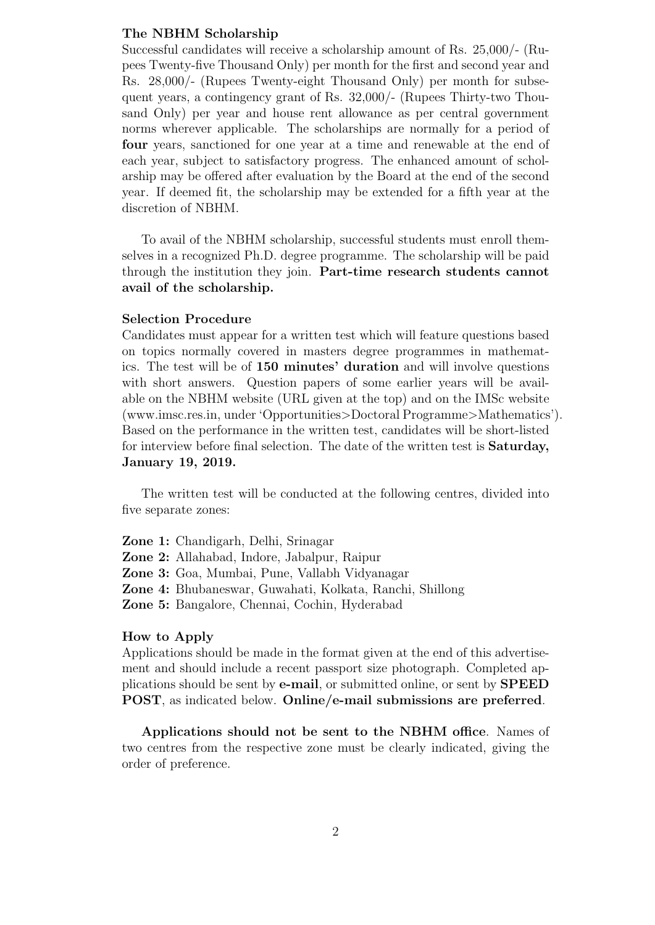### The NBHM Scholarship

Successful candidates will receive a scholarship amount of Rs. 25,000/- (Rupees Twenty-five Thousand Only) per month for the first and second year and Rs. 28,000/- (Rupees Twenty-eight Thousand Only) per month for subsequent years, a contingency grant of Rs. 32,000/- (Rupees Thirty-two Thousand Only) per year and house rent allowance as per central government norms wherever applicable. The scholarships are normally for a period of four years, sanctioned for one year at a time and renewable at the end of each year, subject to satisfactory progress. The enhanced amount of scholarship may be offered after evaluation by the Board at the end of the second year. If deemed fit, the scholarship may be extended for a fifth year at the discretion of NBHM.

To avail of the NBHM scholarship, successful students must enroll themselves in a recognized Ph.D. degree programme. The scholarship will be paid through the institution they join. Part-time research students cannot avail of the scholarship.

#### Selection Procedure

Candidates must appear for a written test which will feature questions based on topics normally covered in masters degree programmes in mathematics. The test will be of 150 minutes' duration and will involve questions with short answers. Question papers of some earlier years will be available on the NBHM website (URL given at the top) and on the IMSc website (www.imsc.res.in, under 'Opportunities>Doctoral Programme>Mathematics'). Based on the performance in the written test, candidates will be short-listed for interview before final selection. The date of the written test is Saturday, January 19, 2019.

The written test will be conducted at the following centres, divided into five separate zones:

Zone 1: Chandigarh, Delhi, Srinagar Zone 2: Allahabad, Indore, Jabalpur, Raipur Zone 3: Goa, Mumbai, Pune, Vallabh Vidyanagar Zone 4: Bhubaneswar, Guwahati, Kolkata, Ranchi, Shillong Zone 5: Bangalore, Chennai, Cochin, Hyderabad

#### How to Apply

Applications should be made in the format given at the end of this advertisement and should include a recent passport size photograph. Completed applications should be sent by e-mail, or submitted online, or sent by SPEED POST, as indicated below. Online/e-mail submissions are preferred.

Applications should not be sent to the NBHM office. Names of two centres from the respective zone must be clearly indicated, giving the order of preference.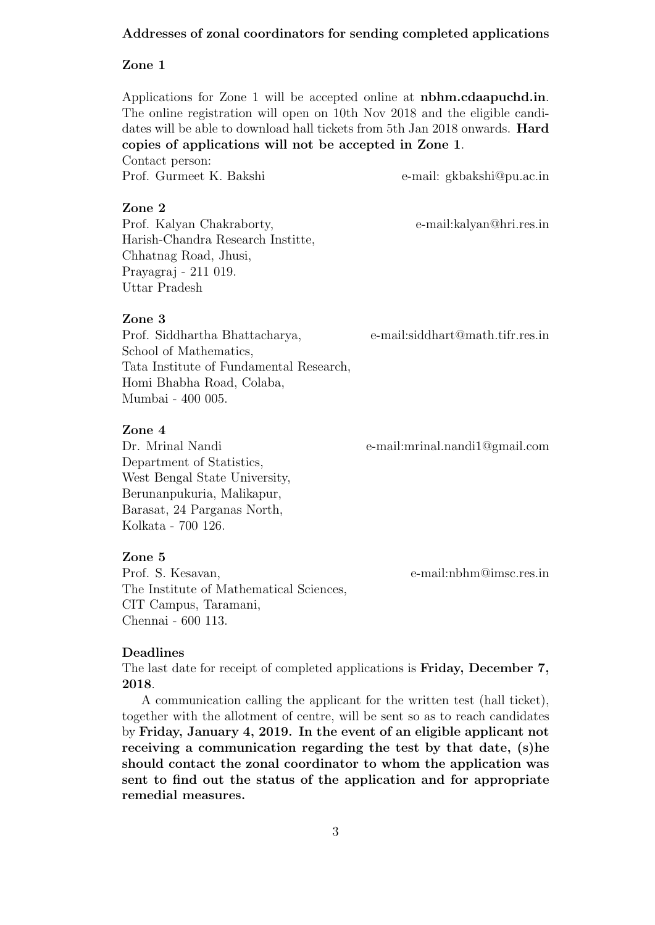## Addresses of zonal coordinators for sending completed applications

### Zone 1

Applications for Zone 1 will be accepted online at nbhm.cdaapuchd.in. The online registration will open on 10th Nov 2018 and the eligible candidates will be able to download hall tickets from 5th Jan 2018 onwards. Hard copies of applications will not be accepted in Zone 1.

Contact person:

Prof. Gurmeet K. Bakshi e-mail: gkbakshi@pu.ac.in

Zone 2

Prof. Kalyan Chakraborty, e-mail:kalyan@hri.res.in Harish-Chandra Research Institte, Chhatnag Road, Jhusi, Prayagraj - 211 019. Uttar Pradesh

Zone 3

Prof. Siddhartha Bhattacharya, e-mail:siddhart@math.tifr.res.in School of Mathematics, Tata Institute of Fundamental Research, Homi Bhabha Road, Colaba, Mumbai - 400 005.

### Zone 4

Dr. Mrinal Nandi e-mail:mrinal.nandi1@gmail.com Department of Statistics, West Bengal State University, Berunanpukuria, Malikapur, Barasat, 24 Parganas North, Kolkata - 700 126.

Zone 5

Prof. S. Kesavan, e-mail:nbhm@imsc.res.in The Institute of Mathematical Sciences, CIT Campus, Taramani, Chennai - 600 113.

#### Deadlines

The last date for receipt of completed applications is Friday, December 7, 2018.

A communication calling the applicant for the written test (hall ticket), together with the allotment of centre, will be sent so as to reach candidates by Friday, January 4, 2019. In the event of an eligible applicant not receiving a communication regarding the test by that date, (s)he should contact the zonal coordinator to whom the application was sent to find out the status of the application and for appropriate remedial measures.